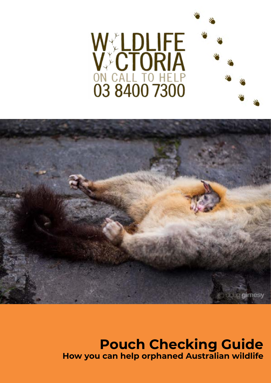



# **Pouch Checking Guide How you can help orphaned Australian wildlife**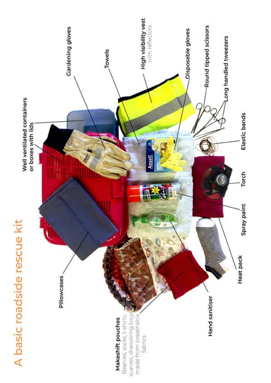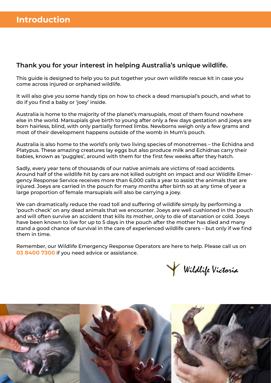### **Thank you for your interest in helping Australia's unique wildlife.**

This guide is designed to help you to put together your own wildlife rescue kit in case you come across injured or orphaned wildlife.

It will also give you some handy tips on how to check a dead marsupial's pouch, and what to do if you find a baby or 'joey' inside.

Australia is home to the majority of the planet's marsupials, most of them found nowhere else in the world. Marsupials give birth to young after only a few days gestation and joeys are born hairless, blind, with only partially formed limbs. Newborns weigh only a few grams and most of their development happens outside of the womb in Mum's pouch.

Australia is also home to the world's only two living species of monotremes – the Echidna and Platypus. These amazing creatures lay eggs but also produce milk and Echidnas carry their babies, known as 'puggles', around with them for the first few weeks after they hatch.

Sadly, every year tens of thousands of our native animals are victims of road accidents. Around half of the wildlife hit by cars are not killed outright on impact and our Wildlife Emergency Response Service receives more than 6,000 calls a year to assist the animals that are injured. Joeys are carried in the pouch for many months after birth so at any time of year a large proportion of female marsupials will also be carrying a joey.

We can dramatically reduce the road toll and suffering of wildlife simply by performing a 'pouch check' on any dead animals that we encounter. Joeys are well cushioned in the pouch and will often survive an accident that kills its mother, only to die of starvation or cold. Joeys have been known to live for up to 5 days in the pouch after the mother has died and many stand a good chance of survival in the care of experienced wildlife carers – but only if we find them in time.

Remember, our Wildlife Emergency Response Operators are here to help. Please call us on **03 8400 7300** if you need advice or assistance.



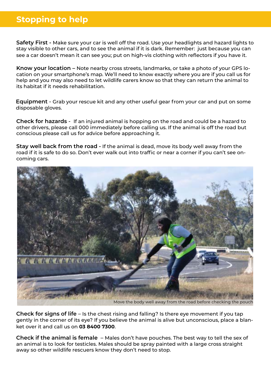## **Stopping to help**

**Safety First -** Make sure your car is well off the road. Use your headlights and hazard lights to stay visible to other cars, and to see the animal if it is dark. Remember: just because you can see a car doesn't mean it can see you; put on high-vis clothing with reflectors if you have it.

**Know your location –** Note nearby cross streets, landmarks, or take a photo of your GPS location on your smartphone's map. We'll need to know exactly where you are if you call us for help and you may also need to let wildlife carers know so that they can return the animal to its habitat if it needs rehabilitation.

**Equipment** - Grab your rescue kit and any other useful gear from your car and put on some disposable gloves.

**Check for hazards** - If an injured animal is hopping on the road and could be a hazard to other drivers, please call 000 immediately before calling us. If the animal is off the road but conscious please call us for advice before approaching it.

**Stay well back from the road -** If the animal is dead, move its body well away from the road if it is safe to do so. Don't ever walk out into traffic or near a corner if you can't see oncoming cars.



**Check for signs of life** – Is the chest rising and falling? Is there eye movement if you tap gently in the corner of its eye? If you believe the animal is alive but unconscious, place a blanket over it and call us on **03 8400 7300**.

**Check if the animal is female** – Males don't have pouches. The best way to tell the sex of an animal is to look for testicles. Males should be spray painted with a large cross straight away so other wildlife rescuers know they don't need to stop.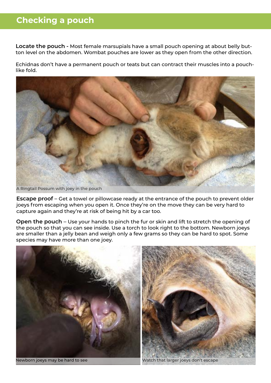## **Checking a pouch**

**Locate the pouch -** Most female marsupials have a small pouch opening at about belly button level on the abdomen. Wombat pouches are lower as they open from the other direction.

Echidnas don't have a permanent pouch or teats but can contract their muscles into a pouchlike fold.



**Escape proof** – Get a towel or pillowcase ready at the entrance of the pouch to prevent older joeys from escaping when you open it. Once they're on the move they can be very hard to capture again and they're at risk of being hit by a car too.

**Open the pouch** – Use your hands to pinch the fur or skin and lift to stretch the opening of the pouch so that you can see inside. Use a torch to look right to the bottom. Newborn joeys are smaller than a jelly bean and weigh only a few grams so they can be hard to spot. Some species may have more than one joey.

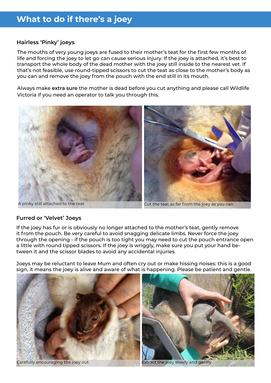### **Hairless 'Pinky' joeys**

The mouths of very young joeys are fused to their mother's teat for the first few months of life and forcing the joey to let go can cause serious injury. If the joey is attached, it's best to transport the whole body of the dead mother with the joey still inside to the nearest vet. If that's not feasible, use round-tipped scissors to cut the teat as close to the mother's body as you can and remove the joey from the pouch with the end still in its mouth.

Always make **extra sure** the mother is dead before you cut anything and please call Wildlife Victoria if you need an operator to talk you through this.



### **Furred or 'Velvet' Joeys**

If the joey has fur or is obviously no longer attached to the mother's teat, gently remove it from the pouch. Be very careful to avoid snagging delicate limbs. Never force the joey through the opening - if the pouch is too tight you may need to cut the pouch entrance open a little with round tipped scissors. If the joey is wriggly, make sure you put your hand between it and the scissor blades to avoid any accidental injuries.

Joeys may be reluctant to leave Mum and often cry out or make hissing noises: this is a good sign, it means the joey is alive and aware of what is happening. Please be patient and gentle.



Carefully encouraging the joey out Extract the joey slowly and gently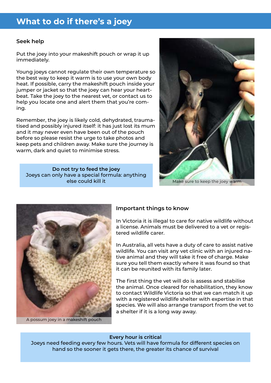## **What to do if there's a joey**

### **Seek help**

Put the joey into your makeshift pouch or wrap it up immediately.

Young joeys cannot regulate their own temperature so the best way to keep it warm is to use your own body heat. If possible, carry the makeshift pouch inside your jumper or jacket so that the joey can hear your heartbeat. Take the joey to the nearest vet, or contact us to help you locate one and alert them that you're coming.

Remember, the joey is likely cold, dehydrated, traumatised and possibly injured itself: it has just lost its mum and it may never even have been out of the pouch before so please resist the urge to take photos and keep pets and children away. Make sure the journey is warm, dark and quiet to minimise stress.

**Do not try to feed the joey** Joeys can only have a special formula: anything





A possum joey in a makeshift pouch

### **Important things to know**

In Victoria it is illegal to care for native wildlife without a license. Animals must be delivered to a vet or registered wildlife carer.

In Australia, all vets have a duty of care to assist native wildlife. You can visit any vet clinic with an injured native animal and they will take it free of charge. Make sure you tell them exactly where it was found so that it can be reunited with its family later.

The first thing the vet will do is assess and stabilise the animal. Once cleared for rehabilitation, they know to contact Wildlife Victoria so that we can match it up with a registered wildlife shelter with expertise in that species. We will also arrange transport from the vet to a shelter if it is a long way away.

#### **Every hour is critical**

Joeys need feeding every few hours. Vets will have formula for different species on hand so the sooner it gets there, the greater its chance of survival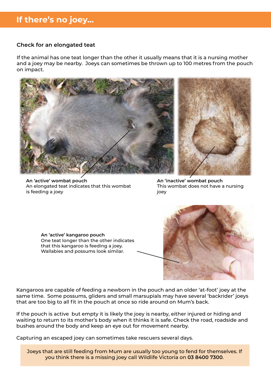## **If there's no joey...**

### **Check for an elongated teat**

If the animal has one teat longer than the other it usually means that it is a nursing mother and a joey may be nearby. Joeys can sometimes be thrown up to 100 metres from the pouch on impact.



**An 'active' wombat pouch** An elongated teat indicates that this wombat is feeding a joey

**An 'inactive' wombat pouch** This wombat does not have a nursing joey

**An 'active' kangaroo pouch** One teat longer than the other indicates that this kangaroo is feeding a joey. Wallabies and possums look similar.



Kangaroos are capable of feeding a newborn in the pouch and an older 'at-foot' joey at the same time. Some possums, gliders and small marsupials may have several 'backrider' joeys that are too big to all fit in the pouch at once so ride around on Mum's back.

If the pouch is active but empty it is likely the joey is nearby, either injured or hiding and waiting to return to its mother's body when it thinks it is safe. Check the road, roadside and bushes around the body and keep an eye out for movement nearby.

Capturing an escaped joey can sometimes take rescuers several days.

Joeys that are still feeding from Mum are usually too young to fend for themselves. If you think there is a missing joey call Wildlife Victoria on **03 8400 7300**.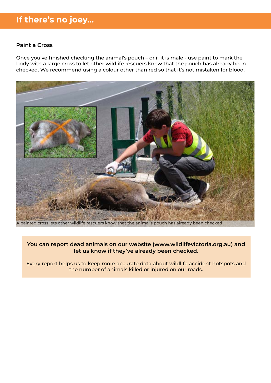## **If there's no joey...**

#### **Paint a Cross**

Once you've finished checking the animal's pouch – or if it is male - use paint to mark the body with a large cross to let other wildlife rescuers know that the pouch has already been checked. We recommend using a colour other than red so that it's not mistaken for blood.



painted cross lets other wildlife rescuers know that the animal's pouch has already been checked

### **You can report dead animals on our website (www.wildlifevictoria.org.au) and let us know if they've already been checked.**

Every report helps us to keep more accurate data about wildlife accident hotspots and the number of animals killed or injured on our roads.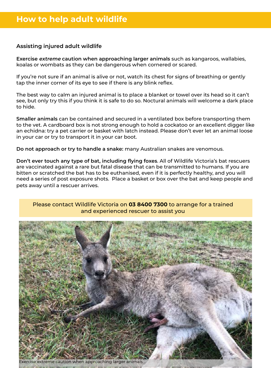### **Assisting injured adult wildlife**

**Exercise extreme caution when approaching larger animals** such as kangaroos, wallabies, koalas or wombats as they can be dangerous when cornered or scared.

If you're not sure if an animal is alive or not, watch its chest for signs of breathing or gently tap the inner corner of its eye to see if there is any blink reflex.

The best way to calm an injured animal is to place a blanket or towel over its head so it can't see, but only try this if you think it is safe to do so. Noctural animals will welcome a dark place to hide.

**Smaller animals** can be contained and secured in a ventilated box before transporting them to the vet. A cardboard box is not strong enough to hold a cockatoo or an excellent digger like an echidna: try a pet carrier or basket with latch instead. Please don't ever let an animal loose in your car or try to transport it in your car boot.

**Do not approach or try to handle a snake:** many Australian snakes are venomous.

**Don't ever touch any type of bat, including flying foxes**. All of Wildlife Victoria's bat rescuers are vaccinated against a rare but fatal disease that can be transmitted to humans. If you are bitten or scratched the bat has to be euthanised, even if it is perfectly healthy, and you will need a series of post exposure shots. Place a basket or box over the bat and keep people and pets away until a rescuer arrives.

### Please contact Wildlife Victoria on **03 8400 7300** to arrange for a trained and experienced rescuer to assist you

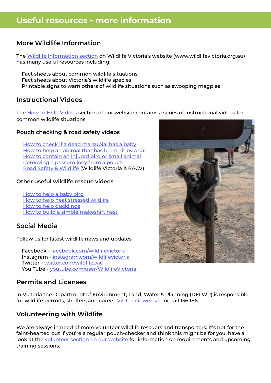## **Useful resources - more information**

### **More Wildlife Information**

The [Wildlife Information section](https://www.wildlifevictoria.org.au/wildlife-information/wildlife-fact-sheets) on Wildlife Victoria's website (www.wildlifevictoria.org.au) has many useful resources including:

 Fact sheets about common wildlife situations Fact sheets about Victoria's wildlife species Printable signs to warn others of wildlife situations such as swooping magpies

### **Instructional Videos**

The [How to Help Videos](https://www.wildlifevictoria.org.au/wildlife-information/how-to-help-videos) section of our website contains a series of instructional videos for common wildlife situations.

### **Pouch checking & road safety videos**

 [How to check if a dead marsupial has a baby](https://www.youtube.com/watch?v=4JuVVWEAVcQ&t=10s) [How to help an animal that has been hit by a car](https://www.youtube.com/watch?v=UCsvpvNjEG4&t=19s) [How to contain an injured bird or small animal](https://youtu.be/PVqgAgfDFyk)  [Removing a possum joey from a pouch](https://youtu.be/jwyh9L0ILZw) Road Safety & Wildlife (Wildlife Victoria & RACV)

### **Other useful wildlife rescue videos**

 [How to help a baby bird](https://www.youtube.com/watch?v=K9FETK07HvQ) [How to help heat stressed wildlife](https://www.youtube.com/watch?v=VBzRwrY8D_8) [How to help ducklings](https://www.youtube.com/watch?v=Hh_P-EeiYM8) [How to build a simple makeshift nest](https://youtu.be/emup7b8glK4)

### **Social Media**

Follow us for latest wildlife news and updates

 Facebook - [facebook.com/wildlifevictoria](http://facebook.com/wildlifevictoria) Instagram - [instagram.com/wildlifevictoria](http://instagram.com/wildlifevictoria) Twitter - [twitter.com/wildlife\\_vic](http://twitter.com/wildlife_vic) You Tube - [youtube.com/user/WildlifeVictoria](http://youtube.com/user/WildlifeVictoria)

### **Permits and Licenses**

In Victoria the Department of Environment, Land, Water & Planning (DELWP) is responsible for wildlife permits, shelters and carers. [Visit their website](www.wildlife.vic.gov.au) or call 136 186.

### **Volunteering with Wildlife**

We are always in need of more volunteer wildlife rescuers and transporters. It's not for the faint-hearted but if you're a regular pouch-checker and think this might be for you, have a look at the [volunteer section on our website](https://www.wildlifevictoria.org.au/get-involved/volunteer) for information on requirements and upcoming training sessions.

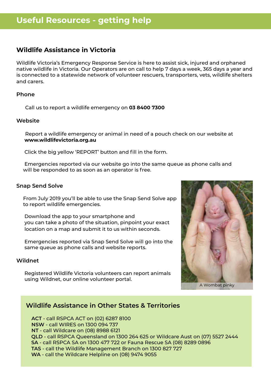## **Wildlife Assistance in Victoria**

Wildlife Victoria's Emergency Response Service is here to assist sick, injured and orphaned native wildlife in Victoria. Our Operators are on call to help 7 days a week, 365 days a year and is connected to a statewide network of volunteer rescuers, transporters, vets, wildlife shelters and carers.

### **Phone**

Call us to report a wildlife emergency on **03 8400 7300**

#### **Website**

 Report a wildlife emergency or animal in need of a pouch check on our website at **www.wildlifevictoria.org.au** 

Click the big yellow 'REPORT' button and fill in the form.

 Emergencies reported via our website go into the same queue as phone calls and will be responded to as soon as an operator is free.

#### **Snap Send Solve**

 From July 2019 you'll be able to use the Snap Send Solve app to report wildlife emergencies.

 Download the app to your smartphone and you can take a photo of the situation, pinpoint your exact location on a map and submit it to us within seconds.

 Emergencies reported via Snap Send Solve will go into the same queue as phone calls and website reports.

#### **Wildnet**

 Registered Wildlife Victoria volunteers can report animals using Wildnet, our online volunteer portal.



A Wombat pinky

### **Wildlife Assistance in Other States & Territories**

 **ACT** - call RSPCA ACT on (02) 6287 8100  **NSW** - call WIRES on 1300 094 737  **NT** - call Wildcare on (08) 8988 6121 **QLD** - call RSPCA Queensland on 1300 264 625 or Wildcare Aust on (07) 5527 2444 **SA** - call RSPCA SA on 1300 477 722 or Fauna Rescue SA (08) 8289 0896 **TAS** - call the Wildlife Management Branch on 1300 827 727 **WA** - call the Wildcare Helpline on (08) 9474 9055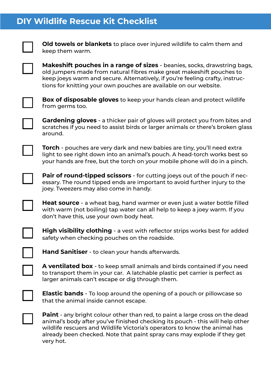## **DIY Wildlife Rescue Kit Checklist**



**Old towels or blankets** to place over injured wildlife to calm them and keep them warm.

**Makeshift pouches in a range of sizes** - beanies, socks, drawstring bags, old jumpers made from natural fibres make great makeshift pouches to keep joeys warm and secure. Alternatively, if you're feeling crafty, instructions for knitting your own pouches are available on our website.



**Box of disposable gloves** to keep your hands clean and protect wildlife from germs too.



**Gardening gloves** - a thicker pair of gloves will protect you from bites and scratches if you need to assist birds or larger animals or there's broken glass around.

**Torch** - pouches are very dark and new babies are tiny, you'll need extra light to see right down into an animal's pouch. A head-torch works best so your hands are free, but the torch on your mobile phone will do in a pinch.



**Pair of round-tipped scissors** - for cutting joeys out of the pouch if necessary. The round tipped ends are important to avoid further injury to the joey. Tweezers may also come in handy.

**Heat source** - a wheat bag, hand warmer or even just a water bottle filled with warm (not boiling) tap water can all help to keep a joey warm. If you don't have this, use your own body heat.



**High visibility clothing** - a vest with reflector strips works best for added safety when checking pouches on the roadside.



**Hand Sanitiser** - to clean your hands afterwards.

**A ventilated box** - to keep small animals and birds contained if you need to transport them in your car. A latchable plastic pet carrier is perfect as larger animals can't escape or dig through them.



**Elastic bands** - To loop around the opening of a pouch or pillowcase so that the animal inside cannot escape.



**Paint** - any bright colour other than red, to paint a large cross on the dead animal's body after you've finished checking its pouch - this will help other wildlife rescuers and Wildlife Victoria's operators to know the animal has already been checked. Note that paint spray cans may explode if they get very hot.